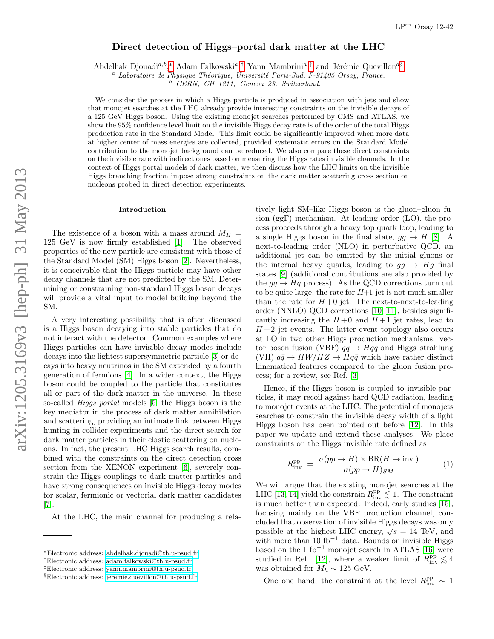# Direct detection of Higgs–portal dark matter at the LHC

Abdelhak Djouadi<sup>a,b</sup>,\* Adam Falkowski<sup>a</sup>,<sup>[†](#page-0-1)</sup> Yann Mambrini<sup>a</sup>,<sup>[‡](#page-0-2)</sup> and Jérémie Quevillon<sup>a[§](#page-0-3)</sup>

 $a$  Laboratoire de Physique Théorique, Université Paris-Sud, F-91405 Orsay, France.

 $b$  CERN, CH-1211, Geneva 23, Switzerland.

We consider the process in which a Higgs particle is produced in association with jets and show that monojet searches at the LHC already provide interesting constraints on the invisible decays of a 125 GeV Higgs boson. Using the existing monojet searches performed by CMS and ATLAS, we show the 95% confidence level limit on the invisible Higgs decay rate is of the order of the total Higgs production rate in the Standard Model. This limit could be significantly improved when more data at higher center of mass energies are collected, provided systematic errors on the Standard Model contribution to the monojet background can be reduced. We also compare these direct constraints on the invisible rate with indirect ones based on measuring the Higgs rates in visible channels. In the context of Higgs portal models of dark matter, we then discuss how the LHC limits on the invisible Higgs branching fraction impose strong constraints on the dark matter scattering cross section on nucleons probed in direct detection experiments.

# Introduction

The existence of a boson with a mass around  $M_H =$ 125 GeV is now firmly established [\[1\]](#page-4-0). The observed properties of the new particle are consistent with those of the Standard Model (SM) Higgs boson [\[2\]](#page-5-0). Nevertheless, it is conceivable that the Higgs particle may have other decay channels that are not predicted by the SM. Determining or constraining non-standard Higgs boson decays will provide a vital input to model building beyond the SM.

A very interesting possibility that is often discussed is a Higgs boson decaying into stable particles that do not interact with the detector. Common examples where Higgs particles can have invisible decay modes include decays into the lightest supersymmetric particle [\[3\]](#page-5-1) or decays into heavy neutrinos in the SM extended by a fourth generation of fermions [\[4\]](#page-5-2). In a wider context, the Higgs boson could be coupled to the particle that constitutes all or part of the dark matter in the universe. In these so-called Higgs portal models [\[5\]](#page-5-3) the Higgs boson is the key mediator in the process of dark matter annihilation and scattering, providing an intimate link between Higgs hunting in collider experiments and the direct search for dark matter particles in their elastic scattering on nucleons. In fact, the present LHC Higgs search results, combined with the constraints on the direct detection cross section from the XENON experiment [\[6\]](#page-5-4), severely constrain the Higgs couplings to dark matter particles and have strong consequences on invisible Higgs decay modes for scalar, fermionic or vectorial dark matter candidates [\[7\]](#page-5-5).

At the LHC, the main channel for producing a rela-

tively light SM–like Higgs boson is the gluon–gluon fusion (ggF) mechanism. At leading order (LO), the process proceeds through a heavy top quark loop, leading to a single Higgs boson in the final state,  $gg \to H$  [\[8\]](#page-5-6). A next-to-leading order (NLO) in perturbative QCD, an additional jet can be emitted by the initial gluons or the internal heavy quarks, leading to  $gg \to Hg$  final states [\[9\]](#page-5-7) (additional contributions are also provided by the  $qq \rightarrow Hq$  process). As the QCD corrections turn out to be quite large, the rate for  $H+1$  jet is not much smaller than the rate for  $H+0$  jet. The next-to-next-to-leading order (NNLO) QCD corrections [\[10,](#page-5-8) [11\]](#page-5-9), besides significantly increasing the  $H+0$  and  $H+1$  jet rates, lead to  $H+2$  jet events. The latter event topology also occurs at LO in two other Higgs production mechanisms: vector boson fusion (VBF)  $qq \rightarrow Hqq$  and Higgs–strahlung (VH)  $q\bar{q} \rightarrow HW/HZ \rightarrow Hq\bar{q}$  which have rather distinct kinematical features compared to the gluon fusion process; for a review, see Ref. [\[3\]](#page-5-1)

Hence, if the Higgs boson is coupled to invisible particles, it may recoil against hard QCD radiation, leading to monojet events at the LHC. The potential of monojets searches to constrain the invisible decay width of a light Higgs boson has been pointed out before [\[12\]](#page-5-10). In this paper we update and extend these analyses. We place constraints on the Higgs invisible rate defined as

$$
R_{\text{inv}}^{\text{pp}} = \frac{\sigma(pp \to H) \times \text{BR}(H \to \text{inv.})}{\sigma(pp \to H)_{SM}}.
$$
 (1)

We will argue that the existing monojet searches at the LHC [\[13,](#page-5-11) [14\]](#page-5-12) yield the constrain  $R_{\text{inv}}^{\text{pp}} \lesssim 1$ . The constraint is much better than expected. Indeed, early studies [\[15\]](#page-5-13), focusing mainly on the VBF production channel, concluded that observation of invisible Higgs decays was only ended that observation of invisible rings decays was only possible at the highest LHC energy,  $\sqrt{s} = 14$  TeV, and with more than  $10$  fb<sup>-1</sup> data. Bounds on invisible Higgs based on the 1 ${\rm fb}^{-1}$  monojet search in ATLAS [\[16\]](#page-5-14) were studied in Ref. [\[12\]](#page-5-10), where a weaker limit of  $R_{\text{inv}}^{\text{pp}} \lesssim 4$ was obtained for  $M_h \sim 125$  GeV.

One one hand, the constraint at the level  $R_{\rm inv}^{\rm pp} \sim 1$ 

<span id="page-0-0"></span><sup>∗</sup>Electronic address: [abdelhak.djouadi@th.u-psud.fr](mailto:abdelhak.djouadi@th.u-psud.fr)

<span id="page-0-1"></span><sup>†</sup>Electronic address: [adam.falkowski@th.u-psud.fr](mailto:adam.falkowski@th.u-psud.fr)

<span id="page-0-2"></span><sup>‡</sup>Electronic address: [yann.mambrini@th.u-psud.fr](mailto:yann.mambrini@th.u-psud.fr)

<span id="page-0-3"></span><sup>§</sup>Electronic address: [jeremie.quevillon@th.u-psud.fr](mailto:jeremie.quevillon@th.u-psud.fr)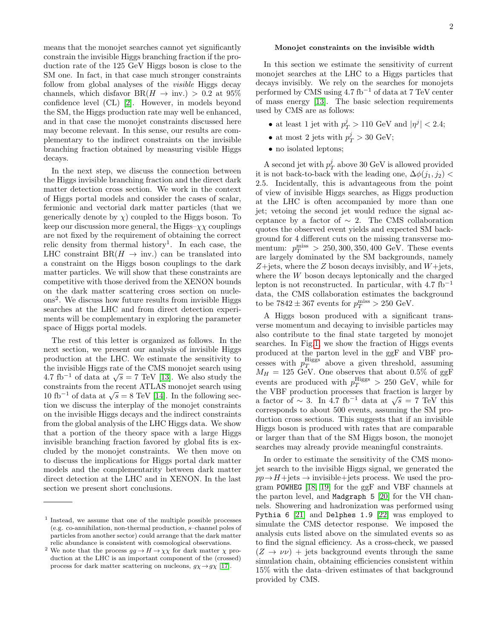means that the monojet searches cannot yet significantly constrain the invisible Higgs branching fraction if the production rate of the 125 GeV Higgs boson is close to the SM one. In fact, in that case much stronger constraints follow from global analyses of the *visible* Higgs decay channels, which disfavor  $BR(H \to inv.) > 0.2$  at 95% confidence level (CL) [\[2\]](#page-5-0). However, in models beyond the SM, the Higgs production rate may well be enhanced, and in that case the monojet constraints discussed here may become relevant. In this sense, our results are complementary to the indirect constraints on the invisible branching fraction obtained by measuring visible Higgs decays.

In the next step, we discuss the connection between the Higgs invisible branching fraction and the direct dark matter detection cross section. We work in the context of Higgs portal models and consider the cases of scalar, fermionic and vectorial dark matter particles (that we generically denote by  $\chi$ ) coupled to the Higgs boson. To keep our discussion more general, the Higgs– $\chi\chi$  couplings are not fixed by the requirement of obtaining the correct relic density from thermal history<sup>1</sup>. In each case, the LHC constraint  $BR(H \to inv.)$  can be translated into a constraint on the Higgs boson couplings to the dark matter particles. We will show that these constraints are competitive with those derived from the XENON bounds on the dark matter scattering cross section on nucleons<sup>2</sup> . We discuss how future results from invisible Higgs searches at the LHC and from direct detection experiments will be complementary in exploring the parameter space of Higgs portal models.

The rest of this letter is organized as follows. In the next section, we present our analysis of invisible Higgs production at the LHC. We estimate the sensitivity to the invisible Higgs rate of the CMS monojet search using the invisible riggs rate of the CMS monojet search using<br>4.7 fb<sup>-1</sup> of data at  $\sqrt{s}$  = 7 TeV [\[13\]](#page-5-11). We also study the constraints from the recent ATLAS monojet search using constraints from the recent ATLAS monojet search using<br>10 fb<sup>−1</sup> of data at  $\sqrt{s} = 8$  TeV [\[14\]](#page-5-12). In the following section we discuss the interplay of the monojet constraints on the invisible Higgs decays and the indirect constraints from the global analysis of the LHC Higgs data. We show that a portion of the theory space with a large Higgs invisible branching fraction favored by global fits is excluded by the monojet constraints. We then move on to discuss the implications for Higgs portal dark matter models and the complementarity between dark matter direct detection at the LHC and in XENON. In the last section we present short conclusions.

## Monojet constraints on the invisible width

In this section we estimate the sensitivity of current monojet searches at the LHC to a Higgs particles that decays invisibly. We rely on the searches for monojets performed by CMS using  $4.7$  fb<sup>-1</sup> of data at 7 TeV center of mass energy [\[13\]](#page-5-11). The basic selection requirements used by CMS are as follows:

- at least 1 jet with  $p_T^j > 110$  GeV and  $|\eta^j| < 2.4$ ;
- at most 2 jets with  $p_T^j > 30$  GeV;
- no isolated leptons;

A second jet with  $p_T^j$  above 30 GeV is allowed provided it is not back-to-back with the leading one,  $\Delta\phi(i_1, i_2)$ 2.5. Incidentally, this is advantageous from the point of view of invisible Higgs searches, as Higgs production at the LHC is often accompanied by more than one jet; vetoing the second jet would reduce the signal acceptance by a factor of  $\sim$  2. The CMS collaboration quotes the observed event yields and expected SM background for 4 different cuts on the missing transverse momentum:  $p_T^{\text{miss}} > 250, 300, 350, 400 \text{ GeV}$ . These events are largely dominated by the SM backgrounds, namely  $Z + \text{jets}$ , where the Z boson decays invisibly, and  $W + \text{jets}$ , where the W boson decays leptonically and the charged lepton is not reconstructed. In particular, with  $4.7 \text{ fb}^{-1}$ data, the CMS collaboration estimates the background to be  $7842 \pm 367$  events for  $p_T^{\text{miss}} > 250 \text{ GeV}$ .

A Higgs boson produced with a significant transverse momentum and decaying to invisible particles may also contribute to the final state targeted by monojet searches. In Fig[.1,](#page-2-0) we show the fraction of Higgs events produced at the parton level in the ggF and VBF processes with  $p_T^{\text{Higgs}}$  above a given threshold, assuming  $M_H = 125$  GeV. One observes that about 0.5% of ggF events are produced with  $p_T^{\text{Higgs}} > 250 \text{ GeV}$ , while for the VBF production processes that fraction is larger by the v<sub>DF</sub> production processes that fraction is larger by<br>a factor of  $\sim 3$ . In 4.7 fb<sup>-1</sup> data at  $\sqrt{s} = 7$  TeV this corresponds to about 500 events, assuming the SM production cross sections. This suggests that if an invisible Higgs boson is produced with rates that are comparable or larger than that of the SM Higgs boson, the monojet searches may already provide meaningful constraints.

In order to estimate the sensitivity of the CMS monojet search to the invisible Higgs signal, we generated the  $pp \rightarrow H + \text{jets} \rightarrow \text{invisible} + \text{jets}$  process. We used the program POWHEG [\[18,](#page-5-16) [19\]](#page-5-17) for the ggF and VBF channels at the parton level, and Madgraph 5 [\[20\]](#page-5-18) for the VH channels. Showering and hadronization was performed using Pythia 6 [\[21\]](#page-5-19) and Delphes 1.9 [\[22\]](#page-5-20) was employed to simulate the CMS detector response. We imposed the analysis cuts listed above on the simulated events so as to find the signal efficiency. As a cross-check, we passed  $(Z \rightarrow \nu \nu)$  + jets background events through the same simulation chain, obtaining efficiencies consistent within 15% with the data–driven estimates of that background provided by CMS.

<sup>1</sup> Instead, we assume that one of the multiple possible processes (e.g. co-annihilation, non-thermal production, s–channel poles of particles from another sector) could arrange that the dark matter relic abundance is consistent with cosmological observations.

 $^2$  We note that the process  $gg \to H \to \chi \chi$  for dark matter  $\chi$  production at the LHC is an important component of the (crossed) process for dark matter scattering on nucleons,  $g\chi \rightarrow g\chi$  [\[17\]](#page-5-15).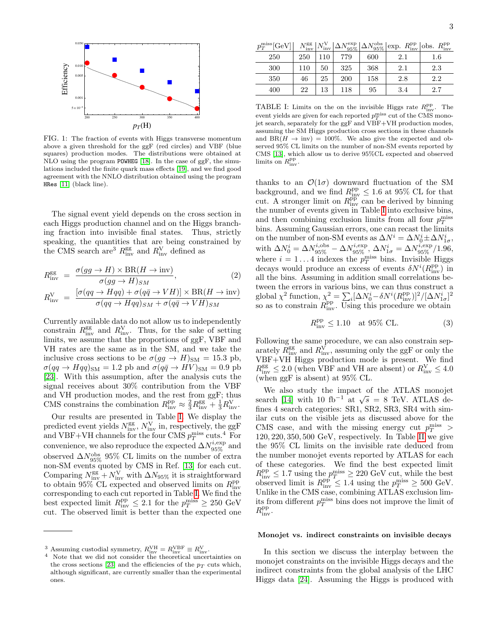

<span id="page-2-0"></span>FIG. 1: The fraction of events with Higgs transverse momentum above a given threshold for the ggF (red circles) and VBF (blue squares) production modes. The distributions were obtained at NLO using the program POWHEG [\[18\]](#page-5-16). In the case of ggF, the simulations included the finite quark mass effects [\[19\]](#page-5-17), and we find good agreement with the NNLO distribution obtained using the program HRes [\[11\]](#page-5-9) (black line).

The signal event yield depends on the cross section in each Higgs production channel and on the Higgs branching fraction into invisible final states. Thus, strictly speaking, the quantities that are being constrained by the CMS search are<sup>3</sup>  $R_{\text{inv}}^{\text{gg}}$  and  $R_{\text{inv}}^{\text{V}}$  defined as

$$
R_{\text{inv}}^{\text{gg}} = \frac{\sigma(gg \to H) \times \text{BR}(H \to \text{inv})}{\sigma(gg \to H)_{SM}},
$$
(2)  

$$
R_{\text{inv}}^{\text{V}} = \frac{[\sigma(qq \to Hqq) + \sigma(q\bar{q} \to VH)] \times \text{BR}(H \to \text{inv})}{\sigma(qq \to Hqq)_{SM} + \sigma(q\bar{q} \to VH)_{SM}}
$$

Currently available data do not allow us to independently constrain  $R_{\text{inv}}^{\text{gg}}$  and  $R_{\text{inv}}^{\text{V}}$ . Thus, for the sake of setting limits, we assume that the proportions of ggF, VBF and VH rates are the same as in the SM, and we take the inclusive cross sections to be  $\sigma(gg \to H)_{\rm SM} = 15.3$  pb,  $\sigma(qq \to Hqq)_{\rm SM} = 1.2$  pb and  $\sigma(q\bar{q} \to HV)_{\rm SM} = 0.9$  pb [\[23\]](#page-5-21). With this assumption, after the analysis cuts the signal receives about 30% contribution from the VBF and VH production modes, and the rest from ggF; thus CMS constrains the combination  $R_{\text{inv}}^{\text{pp}} \approx \frac{2}{3} R_{\text{inv}}^{\text{gg}} + \frac{1}{3} R_{\text{inv}}^{\text{V}}$ .

Our results are presented in Table [I.](#page-2-1) We display the predicted event yields  $N_{\rm inv}^{\rm gg},\,N_{\rm inv}^{\rm V}$  in, respectively, the ggF and VBF+VH channels for the four CMS  $p_T^{\text{miss}}$  cuts.<sup>4</sup> For convenience, we also reproduce the expected  $\Delta N_{95\%}^{i,\rm exp}$  and observed  $\Delta N^{\rm obs}_{95\%}$  95% CL limits on the number of extra non-SM events quoted by CMS in Ref. [\[13\]](#page-5-11) for each cut. Comparing  $N_{\text{inv}}^{\text{gg}} + N_{\text{inv}}^{\text{V}}$  with  $\Delta N_{95\%}$  it is straightforward to obtain  $95\%$  CL expected and observed limits on  $R_{\text{inv}}^{\text{pp}}$ corresponding to each cut reported in Table [I.](#page-2-1) We find the best expected limit  $R_{\text{inv}}^{\text{pp}} \leq 2.1$  for the  $p_T^{\text{miss}} \geq 250 \text{ GeV}$ cut. The observed limit is better than the expected one

| $p_T^{\text{miss}}[\text{GeV}]$ $N_{\text{inv}}^{\text{gg}} N_{\text{inv}}^{\text{V}} \Delta N_{95\%}^{\text{exp}} \Delta N_{95\%}^{\text{obs}} $ exp. $R_{\text{inv}}^{\text{pp}} $ obs. $R_{\text{inv}}^{\text{pp}}$ |  |  |  |  |
|------------------------------------------------------------------------------------------------------------------------------------------------------------------------------------------------------------------------|--|--|--|--|
|                                                                                                                                                                                                                        |  |  |  |  |

| . . |     | 111 V | $\cdots$ | YO 70 | -9970 | <br>111 V | 111V    |
|-----|-----|-------|----------|-------|-------|-----------|---------|
|     | 250 | 250   | 10       | 779   | 600   | 2.1       | $1.6\,$ |
|     | 300 | 110   | 50       | 325   | 368   | 2.1       | 2.3     |
|     | 350 | 46    | 25       | 200   | 158   | 2.8       | 2.2     |
|     | 400 | 22    | 13       | 118   | 95    | 3.4       | 2.7     |

<span id="page-2-1"></span>TABLE I: Limits on the on the invisible Higgs rate  $R_{\text{inv}}^{\text{pp}}$ . The event yields are given for each reported  $p_T^{\text{miss}}$  cut of the CMS monojet search, separately for the ggF and VBF+VH production modes, assuming the SM Higgs production cross sections in these channels and  $BR(H \to inv) = 100\%$ . We also give the expected and observed 95% CL limits on the number of non-SM events reported by CMS [\[13\]](#page-5-11), which allow us to derive 95%CL expected and observed limits on  $R_{\rm inv}^{\rm pp}$ .

thanks to an  $\mathcal{O}(1\sigma)$  downward fluctuation of the SM background, and we find  $R_{\text{inv}}^{\text{pp}} \leq 1.6$  at 95% CL for that cut. A stronger limit on  $R_{\text{inv}}^{\text{pp}}$  can be derived by binning the number of events given in Table [I](#page-2-1) into exclusive bins, and then combining exclusion limits from all four  $p_T^{\text{miss}}$ bins. Assuming Gaussian errors, one can recast the limits on the number of non-SM events as  $\Delta N^i = \Delta N_0^i \pm \Delta N_{1\sigma}^i$ , with  $\Delta N_0^i = \Delta N_{95\%}^{i, \text{obs}} - \Delta N_{95\%}^{i, \text{exp}}, \, \Delta N_{1\sigma}^i = \Delta N_{95\%}^{i, \text{exp}} / 1.96,$ where  $i = 1...4$  indexes the  $p_T^{\text{miss}}$  bins. Invisible Higgs<br>decays would produce an excess of exects  $\delta N^i (P^{\text{PP}})$  in decays would produce an excess of events  $\delta N^i(R_{\rm inv}^{\rm pp})$  in all the bins. Assuming in addition small correlations between the errors in various bins, we can thus construct a global  $\chi^2$  function,  $\chi^2 = \sum_i [\Delta N_0^i - \delta N^i (R_{\text{inv}}^{\text{pp}})]^2 / [\Delta N_{1\sigma}^i]^2$ so as to constrain  $R_{\text{inv}}^{\text{pp}}$ . Using this procedure we obtain

$$
R_{\text{inv}}^{\text{pp}} \le 1.10 \quad \text{at } 95\% \text{ CL.} \tag{3}
$$

Following the same procedure, we can also constrain separately  $\overline{R}_{\text{inv}}^{\text{gg}}$  and  $R_{\text{inv}}^{\vec{V}}$ , assuming only the ggF or only the VBF+VH Higgs production mode is present. We find  $R_{\rm inv}^{\rm gg} \le 2.0$  (when VBF and VH are absent) or  $R_{\rm inv}^{\rm V} \le 4.0$ (when ggF is absent) at 95% CL.

We also study the impact of the ATLAS monojet we also study the impact of the ATLAS monojet<br>search [\[14\]](#page-5-12) with 10 fb<sup>-1</sup> at  $\sqrt{s} = 8$  TeV. ATLAS defines 4 search categories: SR1, SR2, SR3, SR4 with similar cuts on the visible jets as discussed above for the CMS case, and with the missing energy cut  $p_T^{\text{miss}} >$ 120, 220, 350, 500 GeV, respectively. In Table [II](#page-3-0) we give the 95% CL limits on the invisible rate deduced from the number monojet events reported by ATLAS for each of these categories. We find the best expected limit  $R_{\text{inv}}^{\text{pp}} \leq 1.7$  using the  $p_T^{\text{miss}} \geq 220$  GeV cut, while the best observed limit is  $R_{\text{inv}}^{\text{pp}} \leq 1.4$  using the  $p_T^{\text{miss}} \geq 500 \text{ GeV}$ . Unlike in the CMS case, combining ATLAS exclusion limits from different  $p_T^{\text{miss}}$  bins does not improve the limit of  $R_{\rm inv}^{\rm pp}.$ 

#### Monojet vs. indirect constraints on invisible decays

In this section we discuss the interplay between the monojet constraints on the invisible Higgs decays and the indirect constraints from the global analysis of the LHC Higgs data [\[24\]](#page-5-22). Assuming the Higgs is produced with

<sup>&</sup>lt;sup>3</sup> Assuming custodial symmetry,  $R_{\text{inv}}^{\text{VH}} = R_{\text{inv}}^{\text{VBF}} \equiv R_{\text{inv}}^{\text{V}}$ .<br><sup>4</sup> Note that we did not consider the theoretical uncertainties on the cross sections [\[23\]](#page-5-21) and the efficiencies of the  $p_T$  cuts which, although significant, are currently smaller than the experimental ones.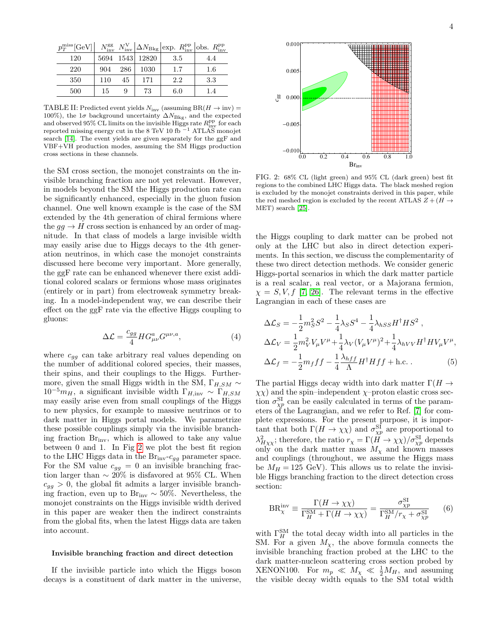| $p_T^{\text{miss}}[\text{GeV}]$ |     |     |                 | $N_{\rm inv}^{\rm gg}$ $N_{\rm inv}^{\rm V}$ $\Delta N_{\rm Bkg}$ exp. $R_{\rm inv}^{\rm pp}$ obs. $R_{\rm inv}^{\rm pp}$ |     |
|---------------------------------|-----|-----|-----------------|---------------------------------------------------------------------------------------------------------------------------|-----|
| 120                             |     |     | 5694 1543 12820 | 3.5                                                                                                                       | 4.4 |
| 220                             | 904 | 286 | 1030            | 1.7                                                                                                                       | 1.6 |
| 350                             | 110 | 45  | 171             | 2.2                                                                                                                       | 3.3 |
| 500                             | 15  | 9   | 73              | 6.0                                                                                                                       | 1.4 |

<span id="page-3-0"></span>TABLE II: Predicted event yields  $N_{\text{inv}}$  (assuming  $BR(H \to inv)$ ) 100%), the  $1\sigma$  background uncertainty  $\Delta N_{\rm Bkg}$ , and the expected and observed 95% CL limits on the invisible Higgs rate  $R_{\text{inv}}^{\text{pp}}$  for each reported missing energy cut in the 8 TeV 10 fb  $^{-1}$  ATLAS monojet search [\[14\]](#page-5-12). The event yields are given separately for the ggF and VBF+VH production modes, assuming the SM Higgs production cross sections in these channels.

the SM cross section, the monojet constraints on the invisible branching fraction are not yet relevant. However, in models beyond the SM the Higgs production rate can be significantly enhanced, especially in the gluon fusion channel. One well known example is the case of the SM extended by the 4th generation of chiral fermions where the  $gg \to H$  cross section is enhanced by an order of magnitude. In that class of models a large invisible width may easily arise due to Higgs decays to the 4th generation neutrinos, in which case the monojet constraints discussed here become very important. More generally, the ggF rate can be enhanced whenever there exist additional colored scalars or fermions whose mass originates (entirely or in part) from electroweak symmetry breaking. In a model-independent way, we can describe their effect on the ggF rate via the effective Higgs coupling to gluons:

$$
\Delta \mathcal{L} = \frac{c_{gg}}{4} H G^{a}_{\mu\nu} G^{\mu\nu,a}, \tag{4}
$$

where  $c_{gg}$  can take arbitrary real values depending on the number of additional colored species, their masses, their spins, and their couplings to the Higgs. Furthermore, given the small Higgs width in the SM,  $\Gamma_{H,SM} \sim$  $10^{-5}m_H$ , a significant invisible width  $\Gamma_{H,\text{inv}} \sim \Gamma_{H,SM}$ may easily arise even from small couplings of the Higgs to new physics, for example to massive neutrinos or to dark matter in Higgs portal models. We parametrize these possible couplings simply via the invisible branching fraction Brinv, which is allowed to take any value between 0 and 1. In Fig [2](#page-3-1) we plot the best fit region to the LHC Higgs data in the  $\text{Br}_{\text{inv}}\text{-}c_{gg}$  parameter space. For the SM value  $c_{gg} = 0$  an invisible branching fraction larger than  $\sim 20\%$  is disfavored at 95% CL. When  $c_{qq} > 0$ , the global fit admits a larger invisible branching fraction, even up to Br<sub>inv</sub> ~ 50%. Nevertheless, the monojet constraints on the Higgs invisible width derived in this paper are weaker then the indirect constraints from the global fits, when the latest Higgs data are taken into account.

## Invisible branching fraction and direct detection

If the invisible particle into which the Higgs boson decays is a constituent of dark matter in the universe,

FIG. 2: 68% CL (light green) and 95% CL (dark green) best fit regions to the combined LHC Higgs data. The black meshed region is excluded by the monojet constraints derived in this paper, while the red meshed region is excluded by the recent ATLAS  $Z + (H \rightarrow$ MET) search [\[25\]](#page-5-23).

<span id="page-3-1"></span>0.0 0.2 0.4 0.6 0.8 1.0

Brinv

 $-0.010$ 

 $-0.005$ 

 $\frac{66}{60}$  0.000

0.005

0.010

the Higgs coupling to dark matter can be probed not only at the LHC but also in direct detection experiments. In this section, we discuss the complementarity of these two direct detection methods. We consider generic Higgs-portal scenarios in which the dark matter particle is a real scalar, a real vector, or a Majorana fermion,  $\chi = S, V, f$  [\[7,](#page-5-5) [26\]](#page-5-24). The relevant terms in the effective Lagrangian in each of these cases are

$$
\Delta \mathcal{L}_S = -\frac{1}{2} m_S^2 S^2 - \frac{1}{4} \lambda_S S^4 - \frac{1}{4} \lambda_{hSS} H^{\dagger} H S^2 ,
$$
  
\n
$$
\Delta \mathcal{L}_V = \frac{1}{2} m_V^2 V_\mu V^\mu + \frac{1}{4} \lambda_V (V_\mu V^\mu)^2 + \frac{1}{4} \lambda_{hVV} H^{\dagger} H V_\mu V^\mu ,
$$
  
\n
$$
\Delta \mathcal{L}_f = -\frac{1}{2} m_f f f - \frac{1}{4} \frac{\lambda_{hff}}{\Lambda} H^{\dagger} H f f + \text{h.c.} .
$$
 (5)

The partial Higgs decay width into dark matter  $\Gamma(H \to$  $\chi \chi$ ) and the spin–independent  $\chi$ –proton elastic cross section  $\sigma_{\chi p}^{\rm SI}$  can be easily calculated in terms of the parameters of the Lagrangian, and we refer to Ref. [\[7\]](#page-5-5) for complete expressions. For the present purpose, it is important that both  $\Gamma(H \to \chi \chi)$  and  $\sigma_{\chi p}^{\rm SI}$  are proportional to  $\lambda_{H\chi\chi}^{2}$ ; therefore, the ratio  $r_{\chi} = \Gamma(H \to \chi\chi)/\sigma_{\chi p}^{\rm SI}$  depends only on the dark matter mass  $M_{\chi}$  and known masses and couplings (throughout, we assume the Higgs mass be  $M_H = 125$  GeV). This allows us to relate the invisible Higgs branching fraction to the direct detection cross section:

$$
BR_{\chi}^{\rm inv} \equiv \frac{\Gamma(H \to \chi \chi)}{\Gamma_H^{\rm SM} + \Gamma(H \to \chi \chi)} = \frac{\sigma_{\chi p}^{\rm SI}}{\Gamma_H^{\rm SM}/r_{\chi} + \sigma_{\chi p}^{\rm SI}} \qquad (6)
$$

with  $\Gamma_H^{\text{SM}}$  the total decay width into all particles in the SM. For a given  $M_{\chi}$ , the above formula connects the invisible branching fraction probed at the LHC to the dark matter-nucleon scattering cross section probed by XENON100. For  $m_p \ll M_\chi \ll \frac{1}{2} M_H$ , and assuming the visible decay width equals to the SM total width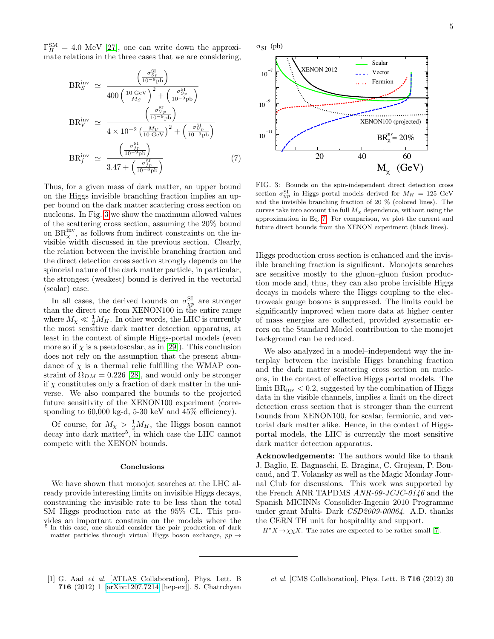$\Gamma_H^{\text{SM}} = 4.0 \text{ MeV } [27]$  $\Gamma_H^{\text{SM}} = 4.0 \text{ MeV } [27]$ , one can write down the approximate relations in the three cases that we are considering,

<span id="page-4-2"></span>
$$
BR_S^{\text{inv}} \simeq \frac{\left(\frac{\sigma_{Sp}^{\text{SI}}}{10^{-9} \text{pb}}\right)}{400 \left(\frac{10 \text{ GeV}}{M_S}\right)^2 + \left(\frac{\sigma_{Sp}^{\text{SI}}}{10^{-9} \text{pb}}\right)}
$$
\n
$$
BR_V^{\text{inv}} \simeq \frac{\left(\frac{\sigma_{Vp}^{\text{SI}}}{10^{-9} \text{pb}}\right)}{4 \times 10^{-2} \left(\frac{M_V}{10 \text{ GeV}}\right)^2 + \left(\frac{\sigma_{Vp}^{\text{SI}}}{10^{-9} \text{pb}}\right)}
$$
\n
$$
BR_f^{\text{inv}} \simeq \frac{\left(\frac{\sigma_{fp}^{\text{SI}}}{10^{-9} \text{pb}}\right)}{3.47 + \left(\frac{\sigma_{fp}^{\text{SI}}}{10^{-9} \text{pb}}\right)} \tag{7}
$$

Thus, for a given mass of dark matter, an upper bound on the Higgs invisible branching fraction implies an upper bound on the dark matter scattering cross section on nucleons. In Fig. [3](#page-4-1) we show the maximum allowed values of the scattering cross section, assuming the 20% bound on  $BR_{\chi}^{\text{inv}}$ , as follows from indirect constraints on the invisible width discussed in the previous section. Clearly, the relation between the invisible branching fraction and the direct detection cross section strongly depends on the spinorial nature of the dark matter particle, in particular, the strongest (weakest) bound is derived in the vectorial (scalar) case.

In all cases, the derived bounds on  $\sigma_{\chi p}^{\rm SI}$  are stronger than the direct one from XENON100 in the entire range where  $M_{\chi} \ll \frac{1}{2}M_H$ . In other words, the LHC is currently the most sensitive dark matter detection apparatus, at least in the context of simple Higgs-portal models (even more so if  $\chi$  is a pseudoscalar, as in [\[29\]](#page-5-26)). This conclusion does not rely on the assumption that the present abundance of  $\chi$  is a thermal relic fulfilling the WMAP constraint of  $\Omega_{DM} = 0.226$  [\[28\]](#page-5-27), and would only be stronger if  $\chi$  constitutes only a fraction of dark matter in the universe. We also compared the bounds to the projected future sensitivity of the XENON100 experiment (corresponding to  $60,000$  kg-d,  $5-30$  keV and  $45\%$  efficiency).

Of course, for  $M_{\chi} > \frac{1}{2} M_H$ , the Higgs boson cannot decay into dark matter<sup>5</sup>, in which case the LHC cannot compete with the XENON bounds.

# Conclusions

We have shown that monojet searches at the LHC already provide interesting limits on invisible Higgs decays, constraining the invisible rate to be less than the total SM Higgs production rate at the 95% CL. This provides an important constrain on the models where the  $\frac{5}{5}$  In this case, one should consider the pair production of dark In this case, one should consider the pair production of dark matter particles through virtual Higgs boson exchange,  $pp \rightarrow$ 





<span id="page-4-1"></span>FIG. 3: Bounds on the spin-independent direct detection cross section  $\sigma_{\chi p}^{\rm SI}$  in Higgs portal models derived for  $M_H = 125 \text{ GeV}$ and the invisible branching fraction of 20 % (colored lines). The curves take into account the full  $M<sub>X</sub>$  dependence, without using the approximation in Eq. [7.](#page-4-2) For comparison, we plot the current and future direct bounds from the XENON experiment (black lines).

Higgs production cross section is enhanced and the invisible branching fraction is significant. Monojets searches are sensitive mostly to the gluon–gluon fusion production mode and, thus, they can also probe invisible Higgs decays in models where the Higgs coupling to the electroweak gauge bosons is suppressed. The limits could be significantly improved when more data at higher center of mass energies are collected, provided systematic errors on the Standard Model contribution to the monojet background can be reduced.

We also analyzed in a model–independent way the interplay between the invisible Higgs branching fraction and the dark matter scattering cross section on nucleons, in the context of effective Higgs portal models. The limit  $BR_{inv} < 0.2$ , suggested by the combination of Higgs data in the visible channels, implies a limit on the direct detection cross section that is stronger than the current bounds from XENON100, for scalar, fermionic, and vectorial dark matter alike. Hence, in the context of Higgsportal models, the LHC is currently the most sensitive dark matter detection apparatus.

Acknowledgements: The authors would like to thank J. Baglio, E. Bagnaschi, E. Bragina, C. Grojean, P. Boucaud, and T. Volansky as well as the Magic Monday Journal Club for discussions. This work was supported by the French ANR TAPDMS ANR-09-JCJC-0146 and the Spanish MICINNs Consolider-Ingenio 2010 Programme under grant Multi- Dark CSD2009-00064. A.D. thanks the CERN TH unit for hospitality and support.

 $H^*X \to \chi \chi X$ . The rates are expected to be rather small [\[7\]](#page-5-5).

<span id="page-4-0"></span>[1] G. Aad et al. [ATLAS Collaboration], Phys. Lett. B 716 (2012) 1 [\[arXiv:1207.7214](http://arxiv.org/abs/1207.7214) [hep-ex]]. S. Chatrchyan et al. [CMS Collaboration], Phys. Lett. B 716 (2012) 30